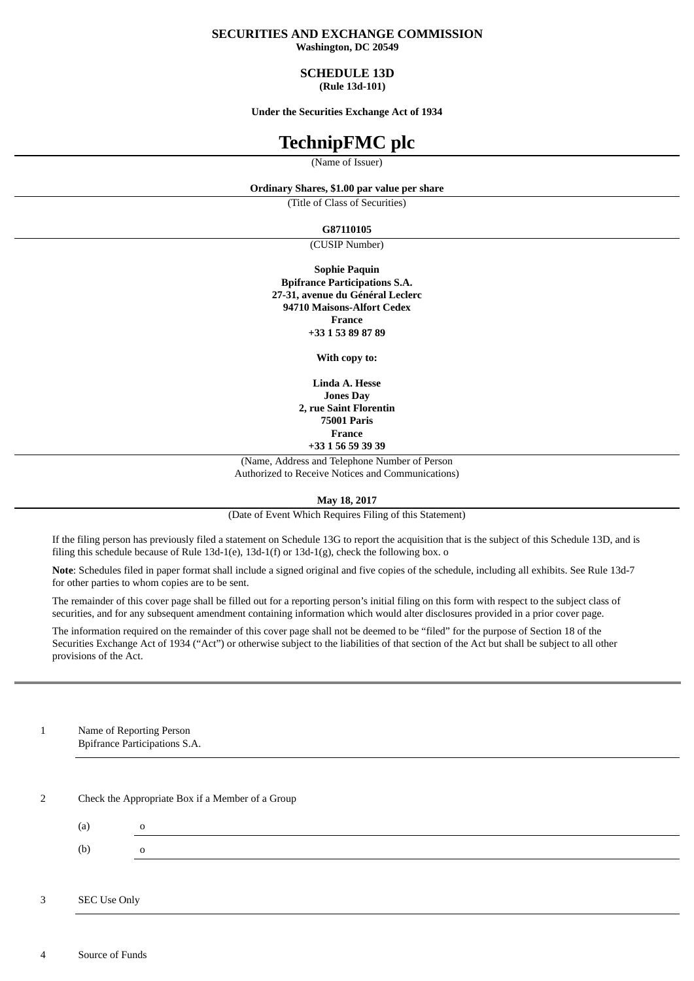#### **SECURITIES AND EXCHANGE COMMISSION Washington, DC 20549**

#### **SCHEDULE 13D (Rule 13d-101)**

**Under the Securities Exchange Act of 1934**

# **TechnipFMC plc**

(Name of Issuer)

#### **Ordinary Shares, \$1.00 par value per share**

(Title of Class of Securities)

#### **G87110105**

(CUSIP Number)

**Sophie Paquin Bpifrance Participations S.A. 27-31, avenue du Général Leclerc 94710 Maisons-Alfort Cedex France +33 1 53 89 87 89**

**With copy to:**

**Linda A. Hesse Jones Day 2, rue Saint Florentin 75001 Paris France +33 1 56 59 39 39**

(Name, Address and Telephone Number of Person Authorized to Receive Notices and Communications)

#### **May 18, 2017**

(Date of Event Which Requires Filing of this Statement)

If the filing person has previously filed a statement on Schedule 13G to report the acquisition that is the subject of this Schedule 13D, and is filing this schedule because of Rule  $13d-1(e)$ ,  $13d-1(f)$  or  $13d-1(g)$ , check the following box. o

**Note**: Schedules filed in paper format shall include a signed original and five copies of the schedule, including all exhibits. See Rule 13d-7 for other parties to whom copies are to be sent.

The remainder of this cover page shall be filled out for a reporting person's initial filing on this form with respect to the subject class of securities, and for any subsequent amendment containing information which would alter disclosures provided in a prior cover page.

The information required on the remainder of this cover page shall not be deemed to be "filed" for the purpose of Section 18 of the Securities Exchange Act of 1934 ("Act") or otherwise subject to the liabilities of that section of the Act but shall be subject to all other provisions of the Act.

1 Name of Reporting Person Bpifrance Participations S.A.

2 Check the Appropriate Box if a Member of a Group

(a) o (b) o

3 SEC Use Only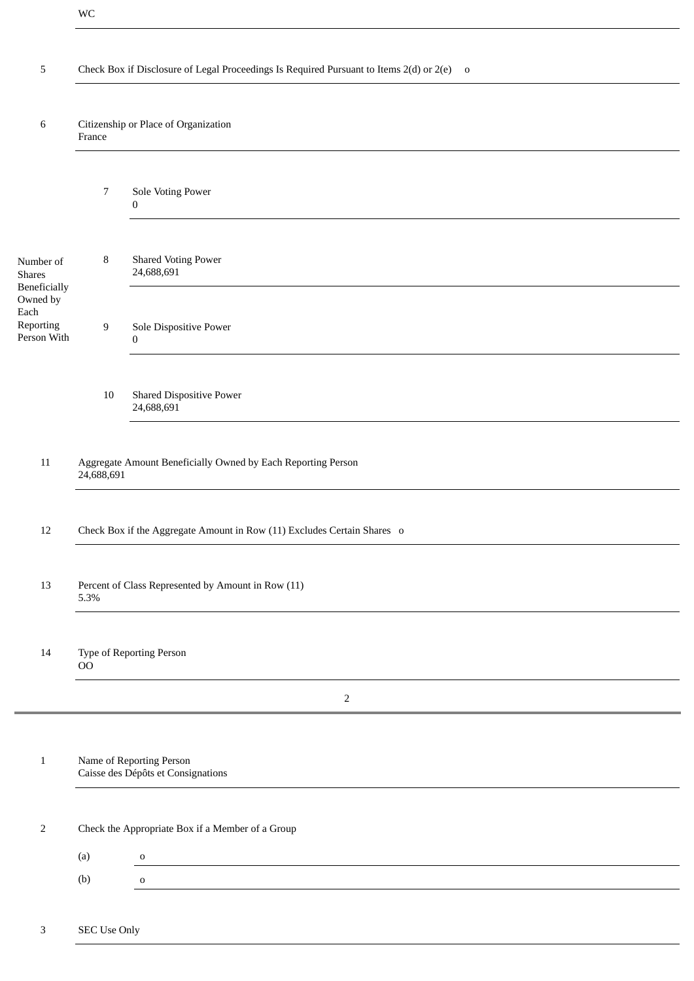5 Check Box if Disclosure of Legal Proceedings Is Required Pursuant to Items 2(d) or 2(e) o 6 Citizenship or Place of Organization France Number of Shares Beneficially Owned by Each Reporting Person With 7 Sole Voting Power  $\boldsymbol{0}$ 8 Shared Voting Power 24,688,691 9 Sole Dispositive Power 0 10 Shared Dispositive Power 24,688,691 11 Aggregate Amount Beneficially Owned by Each Reporting Person 24,688,691 12 Check Box if the Aggregate Amount in Row (11) Excludes Certain Shares o 13 Percent of Class Represented by Amount in Row (11) 5.3% 14 Type of Reporting Person OO 2 1 Name of Reporting Person Caisse des Dépôts et Consignations 2 Check the Appropriate Box if a Member of a Group (a) o (b) o 3 SEC Use Only

WC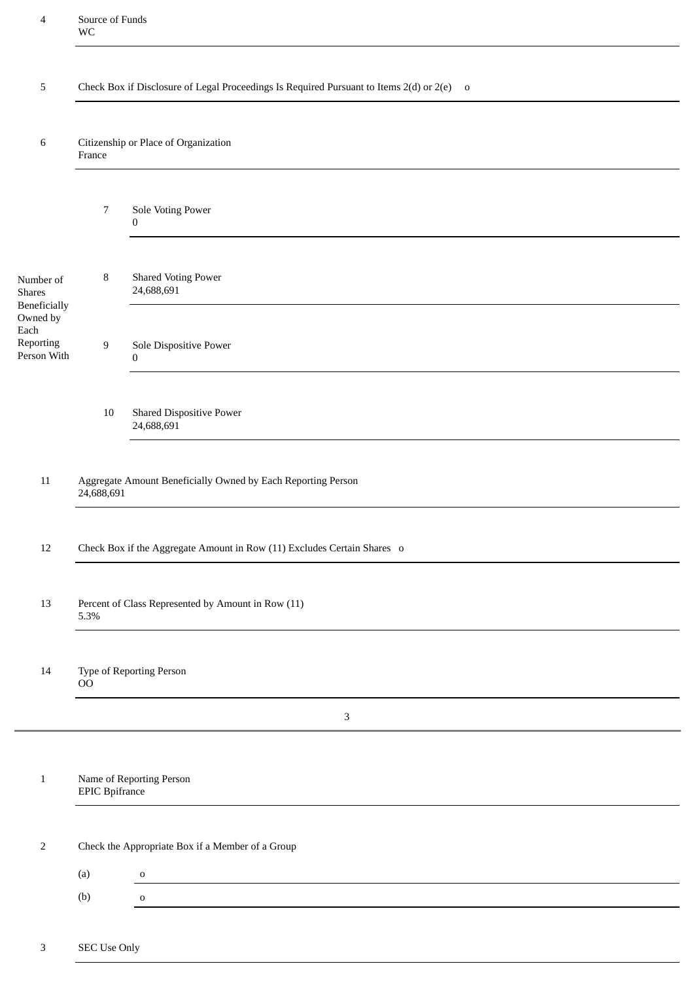| $\overline{4}$                               | Source of Funds<br><b>WC</b>                                                              |                            |  |  |  |
|----------------------------------------------|-------------------------------------------------------------------------------------------|----------------------------|--|--|--|
| 5                                            | Check Box if Disclosure of Legal Proceedings Is Required Pursuant to Items 2(d) or 2(e) o |                            |  |  |  |
| 6                                            | Citizenship or Place of Organization<br>France                                            |                            |  |  |  |
|                                              | Sole Voting Power<br>7<br>0                                                               |                            |  |  |  |
| Number of<br><b>Shares</b><br>Beneficially   | <b>Shared Voting Power</b><br>8<br>24,688,691                                             |                            |  |  |  |
| Owned by<br>Each<br>Reporting<br>Person With | Sole Dispositive Power<br>9<br>$\boldsymbol{0}$                                           |                            |  |  |  |
|                                              | <b>Shared Dispositive Power</b><br>10<br>24,688,691                                       |                            |  |  |  |
| 11                                           | Aggregate Amount Beneficially Owned by Each Reporting Person<br>24,688,691                |                            |  |  |  |
| 12                                           | Check Box if the Aggregate Amount in Row (11) Excludes Certain Shares o                   |                            |  |  |  |
| 13                                           | Percent of Class Represented by Amount in Row (11)<br>5.3%                                |                            |  |  |  |
| 14                                           | Type of Reporting Person<br>O <sub>O</sub>                                                |                            |  |  |  |
|                                              |                                                                                           | $\mathbf{3}$               |  |  |  |
| $\mathbf{1}$                                 | Name of Reporting Person<br><b>EPIC</b> Bpifrance                                         |                            |  |  |  |
| $\overline{2}$                               | Check the Appropriate Box if a Member of a Group                                          |                            |  |  |  |
|                                              | (a)<br>(b)                                                                                | $\mathbf 0$<br>$\mathbf O$ |  |  |  |
|                                              |                                                                                           |                            |  |  |  |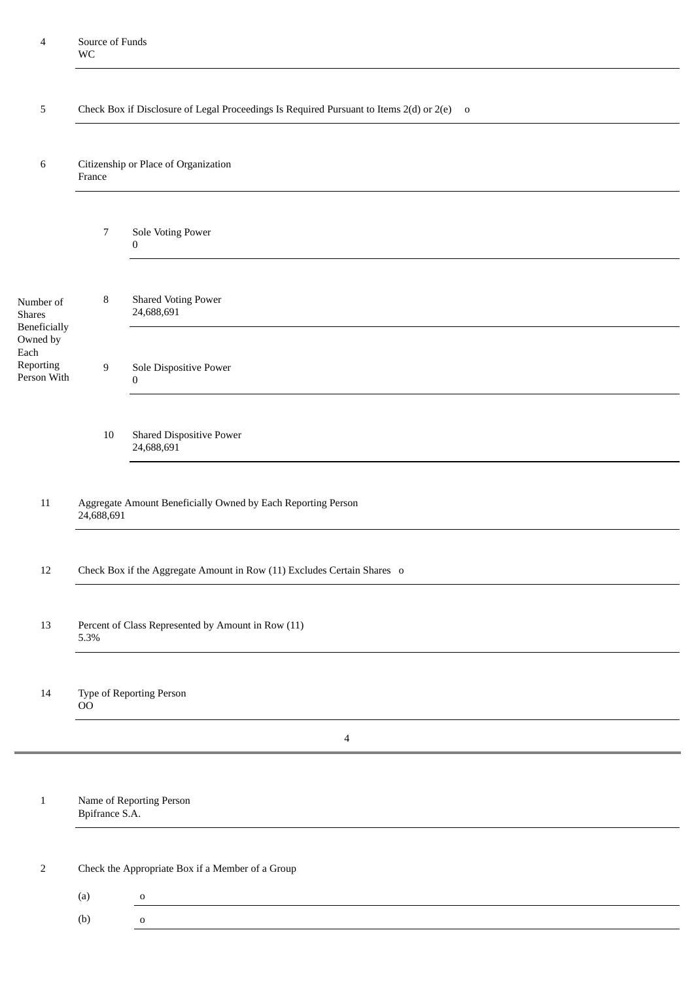5 Check Box if Disclosure of Legal Proceedings Is Required Pursuant to Items 2(d) or 2(e) o

6 Citizenship or Place of Organization France

Number of Shares Beneficially Owned by Each Reporting Person With 7 Sole Voting Power  $\boldsymbol{0}$ 8 Shared Voting Power 24,688,691 9 Sole Dispositive Power 0 10 Shared Dispositive Power 24,688,691 11 Aggregate Amount Beneficially Owned by Each Reporting Person 24,688,691 12 Check Box if the Aggregate Amount in Row (11) Excludes Certain Shares o 13 Percent of Class Represented by Amount in Row (11) 5.3%

14 Type of Reporting Person OO

1 Name of Reporting Person Bpifrance S.A.

2 Check the Appropriate Box if a Member of a Group

(a) o (b) o

4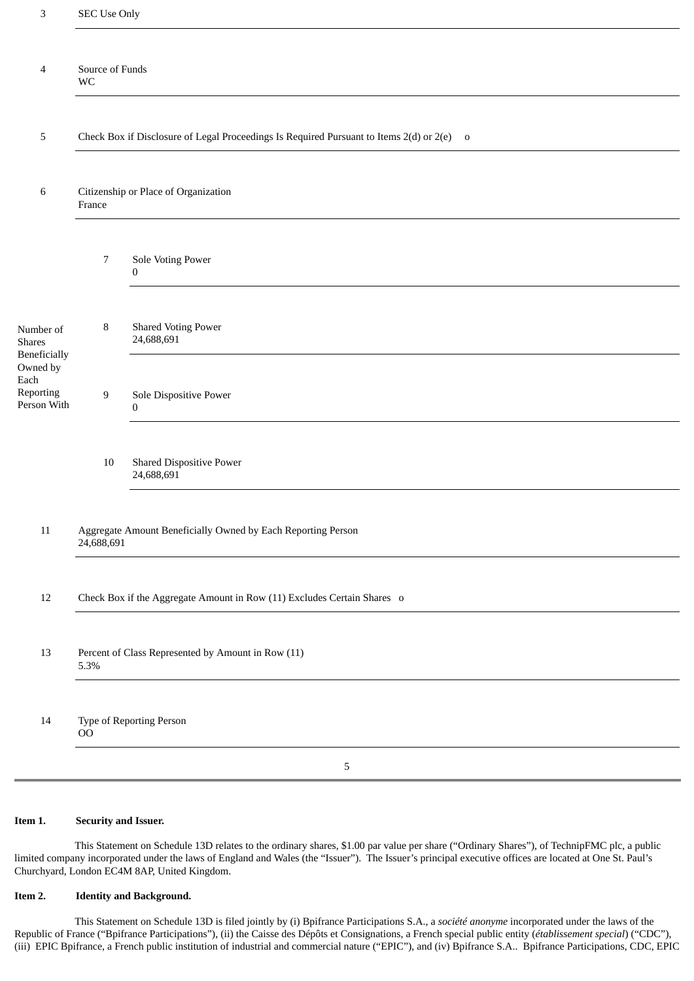| SEC Use Only                                                                                           |  |  |  |  |
|--------------------------------------------------------------------------------------------------------|--|--|--|--|
| Source of Funds<br>$\overline{4}$<br><b>WC</b>                                                         |  |  |  |  |
|                                                                                                        |  |  |  |  |
| Check Box if Disclosure of Legal Proceedings Is Required Pursuant to Items 2(d) or 2(e) o<br>5         |  |  |  |  |
| Citizenship or Place of Organization<br>6<br>France                                                    |  |  |  |  |
| $\overline{7}$<br>Sole Voting Power<br>$\boldsymbol{0}$                                                |  |  |  |  |
| <b>Shared Voting Power</b><br>8<br>Number of<br>24,688,691<br><b>Shares</b><br>Beneficially            |  |  |  |  |
| Owned by<br>Each<br>Reporting<br>$\boldsymbol{9}$<br>Sole Dispositive Power<br>Person With<br>$\bf{0}$ |  |  |  |  |
| <b>Shared Dispositive Power</b><br>10<br>24,688,691                                                    |  |  |  |  |
| Aggregate Amount Beneficially Owned by Each Reporting Person<br>24,688,691                             |  |  |  |  |
| Check Box if the Aggregate Amount in Row (11) Excludes Certain Shares o<br>12                          |  |  |  |  |
| Percent of Class Represented by Amount in Row (11)<br>13<br>$5.3\%$                                    |  |  |  |  |
| $14\,$<br>Type of Reporting Person<br>O <sub>O</sub>                                                   |  |  |  |  |
| 5                                                                                                      |  |  |  |  |

#### **Item 1. Security and Issuer.**

This Statement on Schedule 13D relates to the ordinary shares, \$1.00 par value per share ("Ordinary Shares"), of TechnipFMC plc, a public limited company incorporated under the laws of England and Wales (the "Issuer"). The Issuer's principal executive offices are located at One St. Paul's Churchyard, London EC4M 8AP, United Kingdom.

#### **Item 2. Identity and Background.**

This Statement on Schedule 13D is filed jointly by (i) Bpifrance Participations S.A., a *société anonyme* incorporated under the laws of the Republic of France ("Bpifrance Participations"), (ii) the Caisse des Dépôts et Consignations, a French special public entity (*établissement special*) ("CDC"), (iii) EPIC Bpifrance, a French public institution of industrial and commercial nature ("EPIC"), and (iv) Bpifrance S.A.. Bpifrance Participations, CDC, EPIC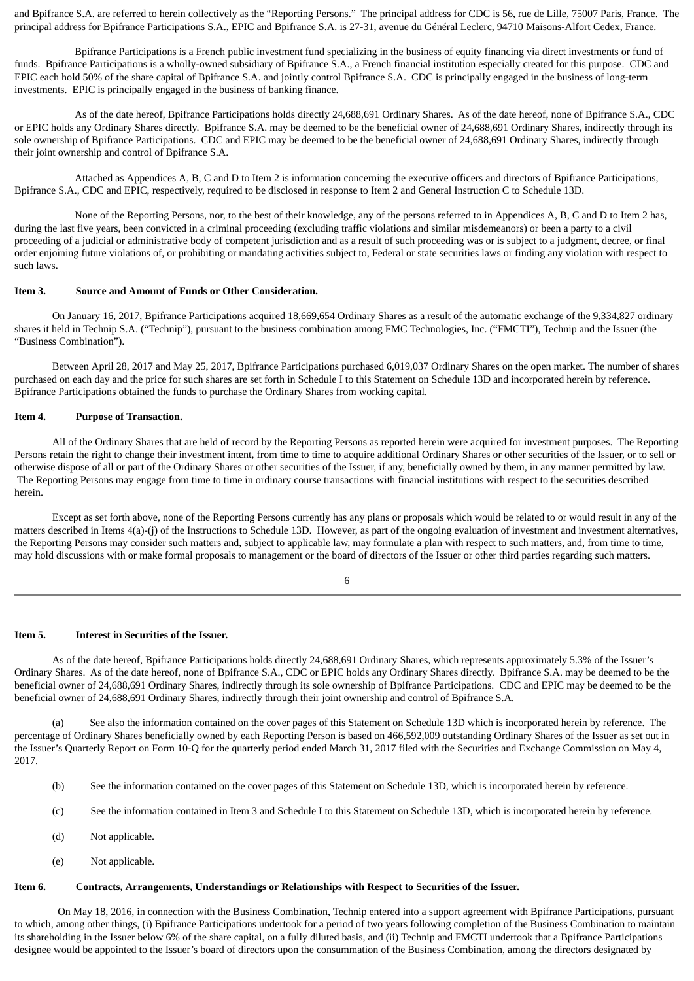and Bpifrance S.A. are referred to herein collectively as the "Reporting Persons." The principal address for CDC is 56, rue de Lille, 75007 Paris, France. The principal address for Bpifrance Participations S.A., EPIC and Bpifrance S.A. is 27-31, avenue du Général Leclerc, 94710 Maisons-Alfort Cedex, France.

Bpifrance Participations is a French public investment fund specializing in the business of equity financing via direct investments or fund of funds. Bpifrance Participations is a wholly-owned subsidiary of Bpifrance S.A., a French financial institution especially created for this purpose. CDC and EPIC each hold 50% of the share capital of Bpifrance S.A. and jointly control Bpifrance S.A. CDC is principally engaged in the business of long-term investments. EPIC is principally engaged in the business of banking finance.

As of the date hereof, Bpifrance Participations holds directly 24,688,691 Ordinary Shares. As of the date hereof, none of Bpifrance S.A., CDC or EPIC holds any Ordinary Shares directly. Bpifrance S.A. may be deemed to be the beneficial owner of 24,688,691 Ordinary Shares, indirectly through its sole ownership of Bpifrance Participations. CDC and EPIC may be deemed to be the beneficial owner of 24,688,691 Ordinary Shares, indirectly through their joint ownership and control of Bpifrance S.A.

Attached as Appendices A, B, C and D to Item 2 is information concerning the executive officers and directors of Bpifrance Participations, Bpifrance S.A., CDC and EPIC, respectively, required to be disclosed in response to Item 2 and General Instruction C to Schedule 13D.

None of the Reporting Persons, nor, to the best of their knowledge, any of the persons referred to in Appendices A, B, C and D to Item 2 has, during the last five years, been convicted in a criminal proceeding (excluding traffic violations and similar misdemeanors) or been a party to a civil proceeding of a judicial or administrative body of competent jurisdiction and as a result of such proceeding was or is subject to a judgment, decree, or final order enjoining future violations of, or prohibiting or mandating activities subject to, Federal or state securities laws or finding any violation with respect to such laws.

#### **Item 3. Source and Amount of Funds or Other Consideration.**

On January 16, 2017, Bpifrance Participations acquired 18,669,654 Ordinary Shares as a result of the automatic exchange of the 9,334,827 ordinary shares it held in Technip S.A. ("Technip"), pursuant to the business combination among FMC Technologies, Inc. ("FMCTI"), Technip and the Issuer (the "Business Combination").

Between April 28, 2017 and May 25, 2017, Bpifrance Participations purchased 6,019,037 Ordinary Shares on the open market. The number of shares purchased on each day and the price for such shares are set forth in Schedule I to this Statement on Schedule 13D and incorporated herein by reference. Bpifrance Participations obtained the funds to purchase the Ordinary Shares from working capital.

#### **Item 4. Purpose of Transaction.**

All of the Ordinary Shares that are held of record by the Reporting Persons as reported herein were acquired for investment purposes. The Reporting Persons retain the right to change their investment intent, from time to time to acquire additional Ordinary Shares or other securities of the Issuer, or to sell or otherwise dispose of all or part of the Ordinary Shares or other securities of the Issuer, if any, beneficially owned by them, in any manner permitted by law. The Reporting Persons may engage from time to time in ordinary course transactions with financial institutions with respect to the securities described herein.

Except as set forth above, none of the Reporting Persons currently has any plans or proposals which would be related to or would result in any of the matters described in Items 4(a)-(j) of the Instructions to Schedule 13D. However, as part of the ongoing evaluation of investment and investment alternatives, the Reporting Persons may consider such matters and, subject to applicable law, may formulate a plan with respect to such matters, and, from time to time, may hold discussions with or make formal proposals to management or the board of directors of the Issuer or other third parties regarding such matters.

6

#### **Item 5. Interest in Securities of the Issuer.**

As of the date hereof, Bpifrance Participations holds directly 24,688,691 Ordinary Shares, which represents approximately 5.3% of the Issuer's Ordinary Shares. As of the date hereof, none of Bpifrance S.A., CDC or EPIC holds any Ordinary Shares directly. Bpifrance S.A. may be deemed to be the beneficial owner of 24,688,691 Ordinary Shares, indirectly through its sole ownership of Bpifrance Participations. CDC and EPIC may be deemed to be the beneficial owner of 24,688,691 Ordinary Shares, indirectly through their joint ownership and control of Bpifrance S.A.

(a) See also the information contained on the cover pages of this Statement on Schedule 13D which is incorporated herein by reference. The percentage of Ordinary Shares beneficially owned by each Reporting Person is based on 466,592,009 outstanding Ordinary Shares of the Issuer as set out in the Issuer's Quarterly Report on Form 10-Q for the quarterly period ended March 31, 2017 filed with the Securities and Exchange Commission on May 4, 2017.

- (b) See the information contained on the cover pages of this Statement on Schedule 13D, which is incorporated herein by reference.
- (c) See the information contained in Item 3 and Schedule I to this Statement on Schedule 13D, which is incorporated herein by reference.
- (d) Not applicable.
- (e) Not applicable.

# **Item 6. Contracts, Arrangements, Understandings or Relationships with Respect to Securities of the Issuer.**

On May 18, 2016, in connection with the Business Combination, Technip entered into a support agreement with Bpifrance Participations, pursuant to which, among other things, (i) Bpifrance Participations undertook for a period of two years following completion of the Business Combination to maintain its shareholding in the Issuer below 6% of the share capital, on a fully diluted basis, and (ii) Technip and FMCTI undertook that a Bpifrance Participations designee would be appointed to the Issuer's board of directors upon the consummation of the Business Combination, among the directors designated by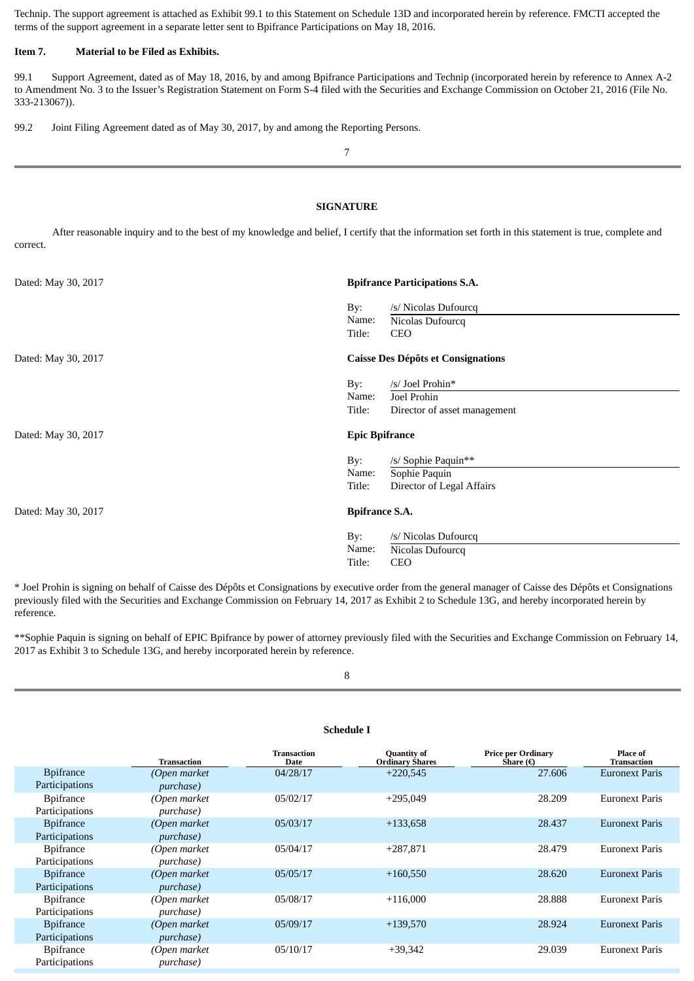Technip. The support agreement is attached as Exhibit 99.1 to this Statement on Schedule 13D and incorporated herein by reference. FMCTI accepted the terms of the support agreement in a separate letter sent to Bpifrance Participations on May 18, 2016.

# **Item 7. Material to be Filed as Exhibits.**

99.1 Support Agreement, dated as of May 18, 2016, by and among Bpifrance Participations and Technip (incorporated herein by reference to Annex A-2 to Amendment No. 3 to the Issuer's Registration Statement on Form S-4 filed with the Securities and Exchange Commission on October 21, 2016 (File No. 333-213067)).

99.2 Joint Filing Agreement dated as of May 30, 2017, by and among the Reporting Persons.

7

#### **SIGNATURE**

After reasonable inquiry and to the best of my knowledge and belief, I certify that the information set forth in this statement is true, complete and correct.

| Dated: May 30, 2017 | <b>Bpifrance Participations S.A.</b>                     |
|---------------------|----------------------------------------------------------|
|                     | /s/ Nicolas Dufourcq<br>By:<br>Name:<br>Nicolas Dufourcq |
|                     | Title:<br><b>CEO</b>                                     |
| Dated: May 30, 2017 | <b>Caisse Des Dépôts et Consignations</b>                |
|                     | /s/ Joel Prohin*<br>By:                                  |
|                     | Name:<br>Joel Prohin                                     |
|                     | Title:<br>Director of asset management                   |
| Dated: May 30, 2017 | <b>Epic Bpifrance</b>                                    |
|                     |                                                          |
|                     | /s/ Sophie Paquin**<br>By:                               |
|                     | Sophie Paquin<br>Name:                                   |
|                     | Title:<br>Director of Legal Affairs                      |
| Dated: May 30, 2017 | <b>Bpifrance S.A.</b>                                    |
|                     | /s/ Nicolas Dufourcq<br>By:                              |
|                     | Name:<br>Nicolas Dufourcq                                |

\* Joel Prohin is signing on behalf of Caisse des Dépôts et Consignations by executive order from the general manager of Caisse des Dépôts et Consignations previously filed with the Securities and Exchange Commission on February 14, 2017 as Exhibit 2 to Schedule 13G, and hereby incorporated herein by reference.

\*\*Sophie Paquin is signing on behalf of EPIC Bpifrance by power of attorney previously filed with the Securities and Exchange Commission on February 14, 2017 as Exhibit 3 to Schedule 13G, and hereby incorporated herein by reference.

8

|                   | <b>Transaction</b> | <b>Transaction</b><br>Date | <b>Quantity of</b><br><b>Ordinary Shares</b> | <b>Price per Ordinary</b><br>Share $(E)$ | <b>Place of</b><br>Transaction |
|-------------------|--------------------|----------------------------|----------------------------------------------|------------------------------------------|--------------------------------|
| <b>B</b> pifrance | (Open market       | 04/28/17                   | $+220,545$                                   | 27.606                                   | <b>Euronext Paris</b>          |
| Participations    | <i>purchase</i> )  |                            |                                              |                                          |                                |
| <b>B</b> pifrance | (Open market       | 05/02/17                   | $+295.049$                                   | 28.209                                   | <b>Euronext Paris</b>          |
| Participations    | <i>purchase</i> )  |                            |                                              |                                          |                                |
| <b>B</b> pifrance | (Open market       | 05/03/17                   | $+133,658$                                   | 28.437                                   | <b>Euronext Paris</b>          |
| Participations    | purchase)          |                            |                                              |                                          |                                |
| <b>B</b> pifrance | (Open market       | 05/04/17                   | $+287.871$                                   | 28.479                                   | <b>Euronext Paris</b>          |
| Participations    | purchase)          |                            |                                              |                                          |                                |
| <b>B</b> pifrance | (Open market)      | 05/05/17                   | $+160.550$                                   | 28.620                                   | <b>Euronext Paris</b>          |
| Participations    | <i>purchase</i> )  |                            |                                              |                                          |                                |
| <b>B</b> pifrance | (Open market       | 05/08/17                   | $+116,000$                                   | 28.888                                   | <b>Euronext Paris</b>          |
| Participations    | purchase)          |                            |                                              |                                          |                                |
| <b>B</b> pifrance | (Open market       | 05/09/17                   | $+139,570$                                   | 28.924                                   | <b>Euronext Paris</b>          |
| Participations    | <i>purchase</i> )  |                            |                                              |                                          |                                |
| <b>B</b> pifrance | (Open market       | 05/10/17                   | $+39,342$                                    | 29.039                                   | <b>Euronext Paris</b>          |
| Participations    | purchase)          |                            |                                              |                                          |                                |

#### **Schedule I**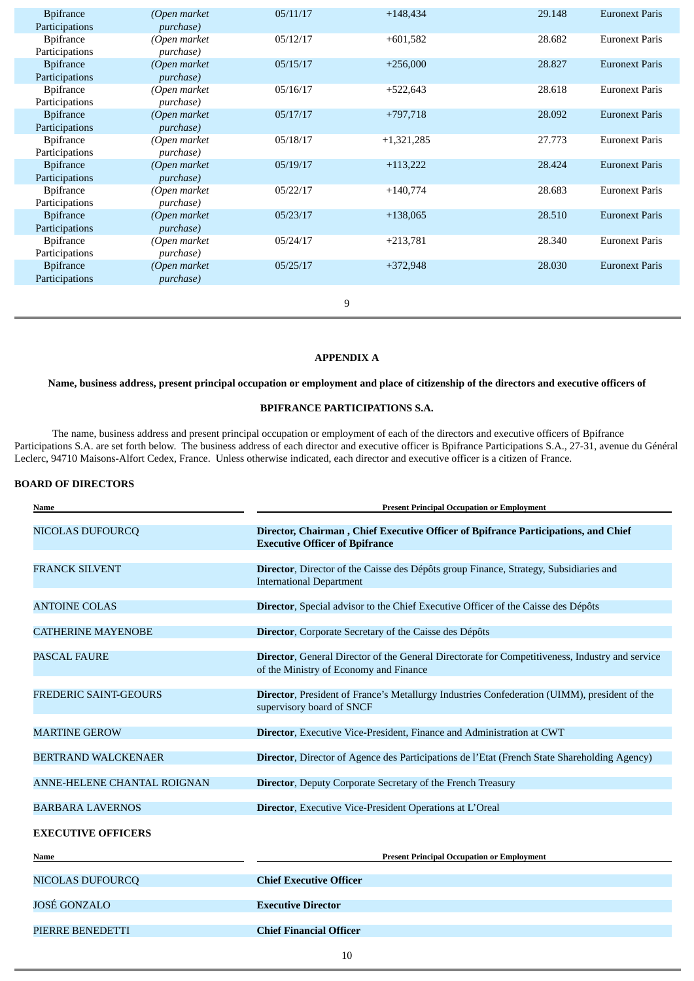| <b>Bpifrance</b> | (Open market      | 05/11/17 | $+148,434$   | 29.148 | <b>Euronext Paris</b> |
|------------------|-------------------|----------|--------------|--------|-----------------------|
| Participations   | <i>purchase</i> ) |          |              |        |                       |
| <b>Bpifrance</b> | (Open market      | 05/12/17 | $+601,582$   | 28.682 | <b>Euronext Paris</b> |
| Participations   | purchase)         |          |              |        |                       |
| <b>Bpifrance</b> | (Open market      | 05/15/17 | $+256,000$   | 28.827 | <b>Euronext Paris</b> |
| Participations   | <i>purchase</i> ) |          |              |        |                       |
| <b>Bpifrance</b> | (Open market      | 05/16/17 | $+522,643$   | 28.618 | <b>Euronext Paris</b> |
| Participations   | purchase)         |          |              |        |                       |
| <b>Bpifrance</b> | (Open market      | 05/17/17 | $+797,718$   | 28.092 | <b>Euronext Paris</b> |
| Participations   | <i>purchase</i> ) |          |              |        |                       |
| <b>Bpifrance</b> | (Open market      | 05/18/17 | $+1,321,285$ | 27.773 | <b>Euronext Paris</b> |
| Participations   | purchase)         |          |              |        |                       |
| <b>Bpifrance</b> | (Open market      | 05/19/17 | $+113,222$   | 28.424 | <b>Euronext Paris</b> |
| Participations   | purchase)         |          |              |        |                       |
| <b>Bpifrance</b> | (Open market      | 05/22/17 | $+140,774$   | 28.683 | <b>Euronext Paris</b> |
| Participations   | purchase)         |          |              |        |                       |
| <b>Bpifrance</b> | (Open market      | 05/23/17 | $+138,065$   | 28.510 | <b>Euronext Paris</b> |
| Participations   | <i>purchase</i> ) |          |              |        |                       |
| <b>Bpifrance</b> | (Open market      | 05/24/17 | $+213,781$   | 28.340 | <b>Euronext Paris</b> |
| Participations   | purchase)         |          |              |        |                       |
| <b>Bpifrance</b> | (Open market      | 05/25/17 | $+372,948$   | 28.030 | <b>Euronext Paris</b> |
| Participations   | purchase)         |          |              |        |                       |
|                  |                   |          |              |        |                       |
|                  |                   |          | 9            |        |                       |
|                  |                   |          |              |        |                       |

#### **APPENDIX A**

# Name, business address, present principal occupation or employment and place of citizenship of the directors and executive officers of

# **BPIFRANCE PARTICIPATIONS S.A.**

The name, business address and present principal occupation or employment of each of the directors and executive officers of Bpifrance Participations S.A. are set forth below. The business address of each director and executive officer is Bpifrance Participations S.A., 27-31, avenue du Général Leclerc, 94710 Maisons-Alfort Cedex, France. Unless otherwise indicated, each director and executive officer is a citizen of France.

### **BOARD OF DIRECTORS**

| Name                         | <b>Present Principal Occupation or Employment</b>                                                                                                |  |  |
|------------------------------|--------------------------------------------------------------------------------------------------------------------------------------------------|--|--|
| <b>NICOLAS DUFOURCQ</b>      | Director, Chairman, Chief Executive Officer of Bpifrance Participations, and Chief<br><b>Executive Officer of Bpifrance</b>                      |  |  |
| <b>FRANCK SILVENT</b>        | <b>Director</b> , Director of the Caisse des Dépôts group Finance, Strategy, Subsidiaries and<br><b>International Department</b>                 |  |  |
| <b>ANTOINE COLAS</b>         | Director, Special advisor to the Chief Executive Officer of the Caisse des Dépôts                                                                |  |  |
| <b>CATHERINE MAYENOBE</b>    | <b>Director, Corporate Secretary of the Caisse des Dépôts</b>                                                                                    |  |  |
| <b>PASCAL FAURE</b>          | <b>Director, General Director of the General Directorate for Competitiveness, Industry and service</b><br>of the Ministry of Economy and Finance |  |  |
| <b>FREDERIC SAINT-GEOURS</b> | Director, President of France's Metallurgy Industries Confederation (UIMM), president of the<br>supervisory board of SNCF                        |  |  |
| <b>MARTINE GEROW</b>         | Director, Executive Vice-President, Finance and Administration at CWT                                                                            |  |  |
| <b>BERTRAND WALCKENAER</b>   | Director, Director of Agence des Participations de l'Etat (French State Shareholding Agency)                                                     |  |  |
| ANNE-HELENE CHANTAL ROIGNAN  | <b>Director</b> , Deputy Corporate Secretary of the French Treasury                                                                              |  |  |
| <b>BARBARA LAVERNOS</b>      | Director, Executive Vice-President Operations at L'Oreal                                                                                         |  |  |
| <b>EXECUTIVE OFFICERS</b>    |                                                                                                                                                  |  |  |
| Name                         | <b>Present Principal Occupation or Employment</b>                                                                                                |  |  |
| <b>NICOLAS DUFOURCQ</b>      | <b>Chief Executive Officer</b>                                                                                                                   |  |  |
| <b>JOSÉ GONZALO</b>          | <b>Executive Director</b>                                                                                                                        |  |  |
| PIERRE BENEDETTI             | <b>Chief Financial Officer</b>                                                                                                                   |  |  |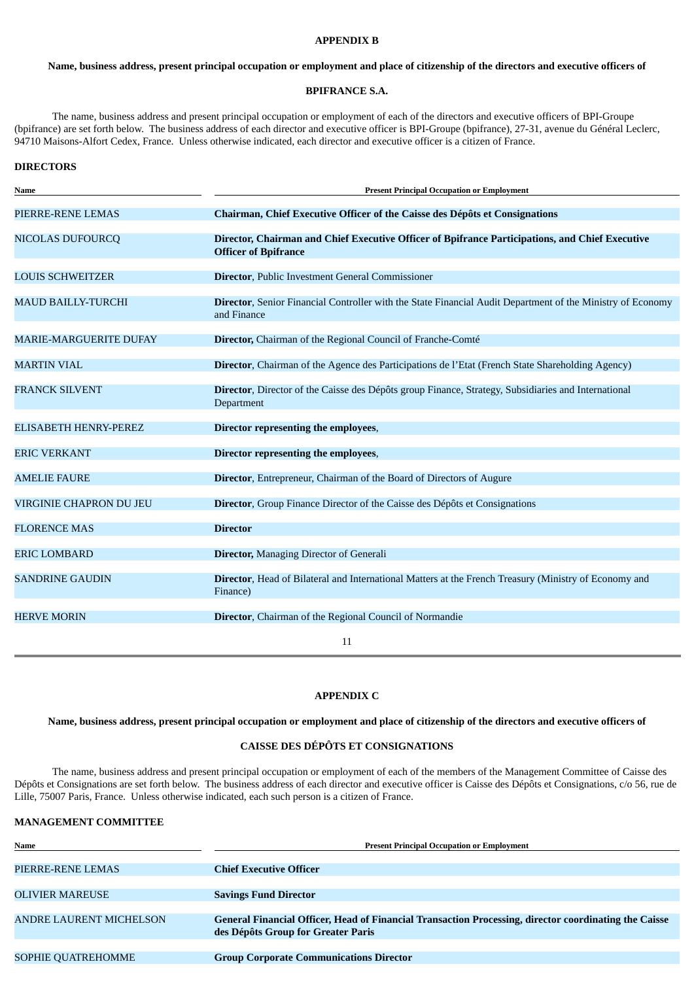#### **APPENDIX B**

# Name, business address, present principal occupation or employment and place of citizenship of the directors and executive officers of

#### **BPIFRANCE S.A.**

The name, business address and present principal occupation or employment of each of the directors and executive officers of BPI-Groupe (bpifrance) are set forth below. The business address of each director and executive officer is BPI-Groupe (bpifrance), 27-31, avenue du Général Leclerc, 94710 Maisons-Alfort Cedex, France. Unless otherwise indicated, each director and executive officer is a citizen of France.

#### **DIRECTORS**

| Name                           | <b>Present Principal Occupation or Employment</b>                                                                              |  |  |
|--------------------------------|--------------------------------------------------------------------------------------------------------------------------------|--|--|
| PIERRE-RENE LEMAS              | Chairman, Chief Executive Officer of the Caisse des Dépôts et Consignations                                                    |  |  |
|                                |                                                                                                                                |  |  |
| NICOLAS DUFOURCQ               | Director, Chairman and Chief Executive Officer of Bpifrance Participations, and Chief Executive<br><b>Officer of Bpifrance</b> |  |  |
|                                |                                                                                                                                |  |  |
| <b>LOUIS SCHWEITZER</b>        | <b>Director, Public Investment General Commissioner</b>                                                                        |  |  |
| <b>MAUD BAILLY-TURCHI</b>      | Director, Senior Financial Controller with the State Financial Audit Department of the Ministry of Economy<br>and Finance      |  |  |
|                                |                                                                                                                                |  |  |
| <b>MARIE-MARGUERITE DUFAY</b>  | Director, Chairman of the Regional Council of Franche-Comté                                                                    |  |  |
|                                |                                                                                                                                |  |  |
| <b>MARTIN VIAL</b>             | Director, Chairman of the Agence des Participations de l'Etat (French State Shareholding Agency)                               |  |  |
| <b>FRANCK SILVENT</b>          | <b>Director</b> , Director of the Caisse des Dépôts group Finance, Strategy, Subsidiaries and International<br>Department      |  |  |
|                                |                                                                                                                                |  |  |
| <b>ELISABETH HENRY-PEREZ</b>   | Director representing the employees,                                                                                           |  |  |
|                                |                                                                                                                                |  |  |
| <b>ERIC VERKANT</b>            | Director representing the employees,                                                                                           |  |  |
| <b>AMELIE FAURE</b>            | Director, Entrepreneur, Chairman of the Board of Directors of Augure                                                           |  |  |
|                                |                                                                                                                                |  |  |
| <b>VIRGINIE CHAPRON DU JEU</b> | Director, Group Finance Director of the Caisse des Dépôts et Consignations                                                     |  |  |
|                                |                                                                                                                                |  |  |
| <b>FLORENCE MAS</b>            | <b>Director</b>                                                                                                                |  |  |
|                                |                                                                                                                                |  |  |
| <b>ERIC LOMBARD</b>            | <b>Director, Managing Director of Generali</b>                                                                                 |  |  |
|                                |                                                                                                                                |  |  |
| <b>SANDRINE GAUDIN</b>         | <b>Director, Head of Bilateral and International Matters at the French Treasury (Ministry of Economy and</b><br>Finance)       |  |  |
|                                |                                                                                                                                |  |  |
| <b>HERVE MORIN</b>             | Director, Chairman of the Regional Council of Normandie                                                                        |  |  |
|                                | 11                                                                                                                             |  |  |

**APPENDIX C**

Name, business address, present principal occupation or employment and place of citizenship of the directors and executive officers of

# **CAISSE DES DÉPÔTS ET CONSIGNATIONS**

The name, business address and present principal occupation or employment of each of the members of the Management Committee of Caisse des Dépôts et Consignations are set forth below. The business address of each director and executive officer is Caisse des Dépôts et Consignations, c/o 56, rue de Lille, 75007 Paris, France. Unless otherwise indicated, each such person is a citizen of France.

# **MANAGEMENT COMMITTEE**

| Name                           | <b>Present Principal Occupation or Employment</b>                                                     |
|--------------------------------|-------------------------------------------------------------------------------------------------------|
|                                |                                                                                                       |
| PIERRE-RENE LEMAS              | <b>Chief Executive Officer</b>                                                                        |
|                                |                                                                                                       |
| <b>OLIVIER MAREUSE</b>         | <b>Savings Fund Director</b>                                                                          |
|                                |                                                                                                       |
| <b>ANDRE LAURENT MICHELSON</b> | General Financial Officer, Head of Financial Transaction Processing, director coordinating the Caisse |
|                                | des Dépôts Group for Greater Paris                                                                    |
|                                |                                                                                                       |
| SOPHIE QUATREHOMME             | <b>Group Corporate Communications Director</b>                                                        |
|                                |                                                                                                       |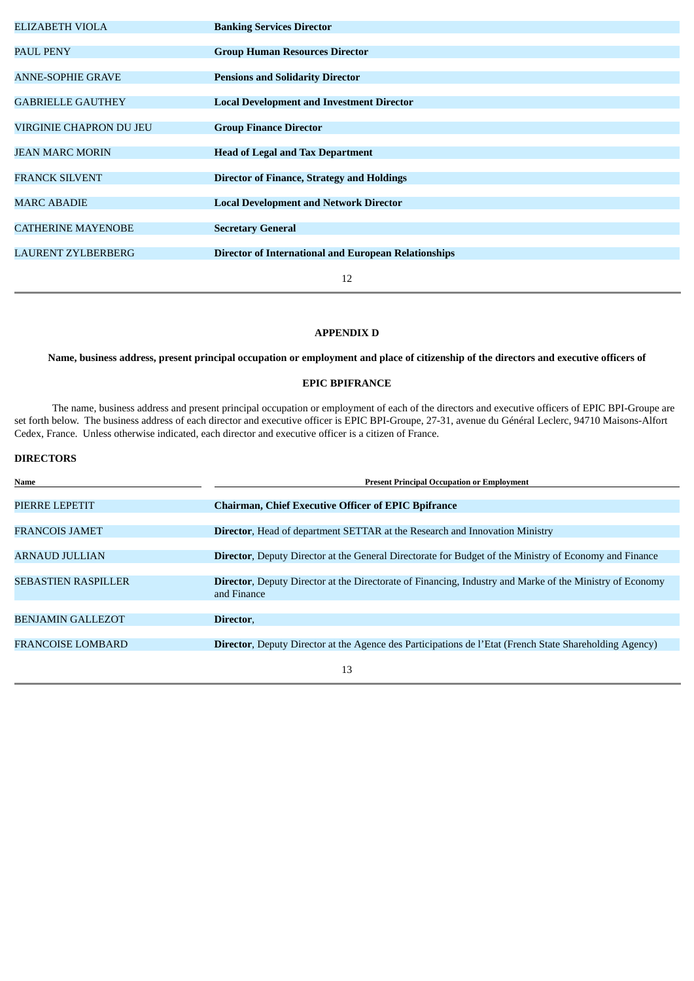| ELIZABETH VIOLA                | <b>Banking Services Director</b>                            |
|--------------------------------|-------------------------------------------------------------|
|                                |                                                             |
| <b>PAUL PENY</b>               | <b>Group Human Resources Director</b>                       |
|                                |                                                             |
| <b>ANNE-SOPHIE GRAVE</b>       | <b>Pensions and Solidarity Director</b>                     |
| <b>GABRIELLE GAUTHEY</b>       | <b>Local Development and Investment Director</b>            |
| <b>VIRGINIE CHAPRON DU JEU</b> | <b>Group Finance Director</b>                               |
|                                |                                                             |
| <b>JEAN MARC MORIN</b>         | <b>Head of Legal and Tax Department</b>                     |
| <b>FRANCK SILVENT</b>          | <b>Director of Finance, Strategy and Holdings</b>           |
| <b>MARC ABADIE</b>             | <b>Local Development and Network Director</b>               |
|                                |                                                             |
| <b>CATHERINE MAYENOBE</b>      | <b>Secretary General</b>                                    |
| <b>LAURENT ZYLBERBERG</b>      | <b>Director of International and European Relationships</b> |
|                                | 12                                                          |

#### **APPENDIX D**

Name, business address, present principal occupation or employment and place of citizenship of the directors and executive officers of

#### **EPIC BPIFRANCE**

The name, business address and present principal occupation or employment of each of the directors and executive officers of EPIC BPI-Groupe are set forth below. The business address of each director and executive officer is EPIC BPI-Groupe, 27-31, avenue du Général Leclerc, 94710 Maisons-Alfort Cedex, France. Unless otherwise indicated, each director and executive officer is a citizen of France.

#### **DIRECTORS**

| Name                       | <b>Present Principal Occupation or Employment</b>                                                               |
|----------------------------|-----------------------------------------------------------------------------------------------------------------|
|                            |                                                                                                                 |
| PIERRE LEPETIT             | <b>Chairman, Chief Executive Officer of EPIC Bpifrance</b>                                                      |
|                            |                                                                                                                 |
| <b>FRANCOIS JAMET</b>      | <b>Director, Head of department SETTAR at the Research and Innovation Ministry</b>                              |
|                            |                                                                                                                 |
| <b>ARNAUD JULLIAN</b>      | <b>Director, Deputy Director at the General Directorate for Budget of the Ministry of Economy and Finance</b>   |
|                            |                                                                                                                 |
| <b>SEBASTIEN RASPILLER</b> | <b>Director, Deputy Director at the Directorate of Financing, Industry and Marke of the Ministry of Economy</b> |
|                            | and Finance                                                                                                     |
|                            |                                                                                                                 |
| <b>BENJAMIN GALLEZOT</b>   | Director,                                                                                                       |
|                            |                                                                                                                 |
| <b>FRANCOISE LOMBARD</b>   | <b>Director, Deputy Director at the Agence des Participations de l'Etat (French State Shareholding Agency)</b>  |
|                            |                                                                                                                 |
|                            | 13                                                                                                              |